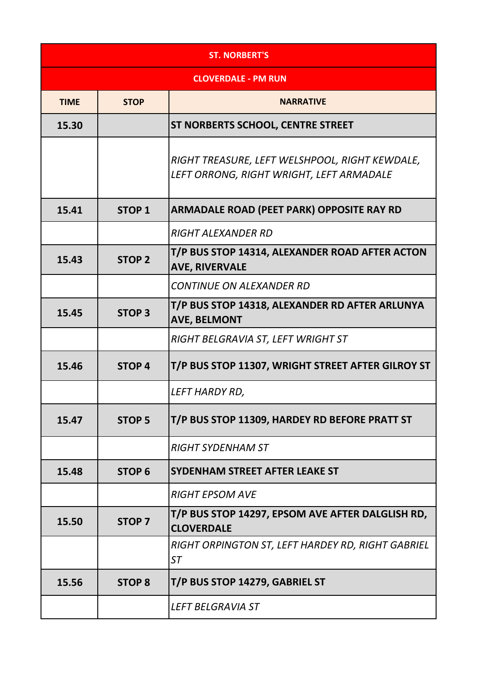| <b>ST. NORBERT'S</b>       |               |                                                                                            |
|----------------------------|---------------|--------------------------------------------------------------------------------------------|
| <b>CLOVERDALE - PM RUN</b> |               |                                                                                            |
| <b>TIME</b>                | <b>STOP</b>   | <b>NARRATIVE</b>                                                                           |
| 15.30                      |               | <b>ST NORBERTS SCHOOL, CENTRE STREET</b>                                                   |
|                            |               | RIGHT TREASURE, LEFT WELSHPOOL, RIGHT KEWDALE,<br>LEFT ORRONG, RIGHT WRIGHT, LEFT ARMADALE |
| 15.41                      | <b>STOP 1</b> | <b>ARMADALE ROAD (PEET PARK) OPPOSITE RAY RD</b>                                           |
|                            |               | <b>RIGHT ALEXANDER RD</b>                                                                  |
| 15.43                      | <b>STOP 2</b> | T/P BUS STOP 14314, ALEXANDER ROAD AFTER ACTON<br><b>AVE, RIVERVALE</b>                    |
|                            |               | <b>CONTINUE ON ALEXANDER RD</b>                                                            |
| 15.45                      | <b>STOP 3</b> | T/P BUS STOP 14318, ALEXANDER RD AFTER ARLUNYA<br><b>AVE, BELMONT</b>                      |
|                            |               | RIGHT BELGRAVIA ST, LEFT WRIGHT ST                                                         |
| 15.46                      | <b>STOP 4</b> | T/P BUS STOP 11307, WRIGHT STREET AFTER GILROY ST                                          |
|                            |               | LEFT HARDY RD,                                                                             |
| 15.47                      | <b>STOP 5</b> | T/P BUS STOP 11309, HARDEY RD BEFORE PRATT ST                                              |
|                            |               | <b>RIGHT SYDENHAM ST</b>                                                                   |
| 15.48                      | <b>STOP 6</b> | SYDENHAM STREET AFTER LEAKE ST                                                             |
|                            |               | <b>RIGHT EPSOM AVE</b>                                                                     |
| 15.50                      | <b>STOP 7</b> | T/P BUS STOP 14297, EPSOM AVE AFTER DALGLISH RD,<br><b>CLOVERDALE</b>                      |
|                            |               | RIGHT ORPINGTON ST, LEFT HARDEY RD, RIGHT GABRIEL<br><b>ST</b>                             |
| 15.56                      | <b>STOP 8</b> | T/P BUS STOP 14279, GABRIEL ST                                                             |
|                            |               | <b>LEFT BELGRAVIA ST</b>                                                                   |